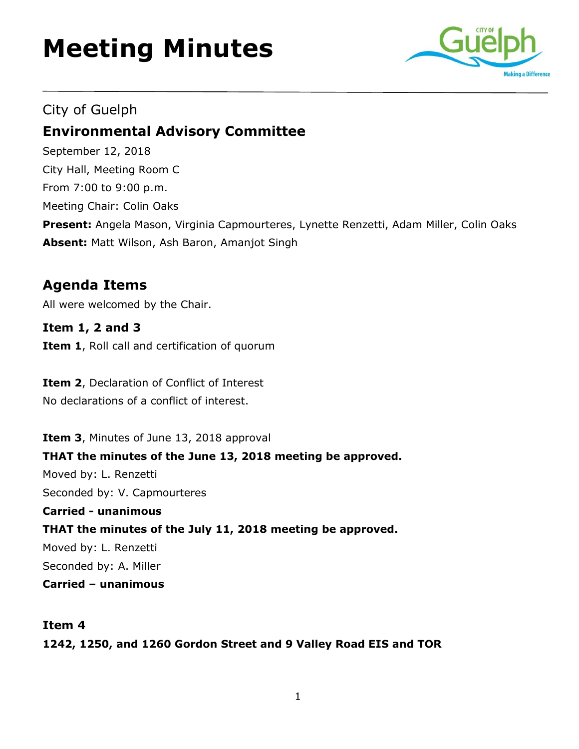# **Meeting Minutes**



## City of Guelph

# **Environmental Advisory Committee**

September 12, 2018 City Hall, Meeting Room C From 7:00 to 9:00 p.m. Meeting Chair: Colin Oaks **Present:** Angela Mason, Virginia Capmourteres, Lynette Renzetti, Adam Miller, Colin Oaks **Absent:** Matt Wilson, Ash Baron, Amanjot Singh

## **Agenda Items**

All were welcomed by the Chair.

**Item 1, 2 and 3 Item 1**, Roll call and certification of quorum

**Item 2**, Declaration of Conflict of Interest No declarations of a conflict of interest.

**Item 3**, Minutes of June 13, 2018 approval **THAT the minutes of the June 13, 2018 meeting be approved.** Moved by: L. Renzetti Seconded by: V. Capmourteres **Carried - unanimous THAT the minutes of the July 11, 2018 meeting be approved.**  Moved by: L. Renzetti Seconded by: A. Miller **Carried – unanimous** 

#### **Item 4**

**1242, 1250, and 1260 Gordon Street and 9 Valley Road EIS and TOR**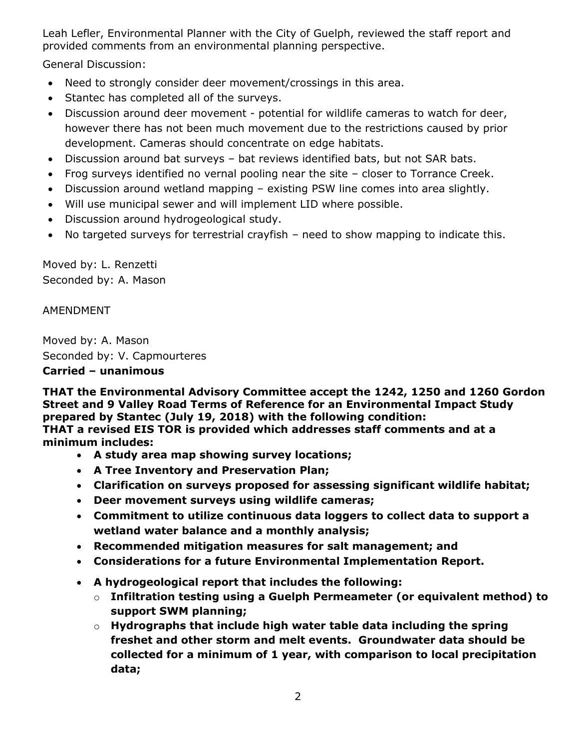Leah Lefler, Environmental Planner with the City of Guelph, reviewed the staff report and provided comments from an environmental planning perspective.

General Discussion:

- Need to strongly consider deer movement/crossings in this area.
- Stantec has completed all of the surveys.
- Discussion around deer movement potential for wildlife cameras to watch for deer, however there has not been much movement due to the restrictions caused by prior development. Cameras should concentrate on edge habitats.
- Discussion around bat surveys bat reviews identified bats, but not SAR bats.
- Frog surveys identified no vernal pooling near the site closer to Torrance Creek.
- Discussion around wetland mapping existing PSW line comes into area slightly.
- Will use municipal sewer and will implement LID where possible.
- Discussion around hydrogeological study.
- No targeted surveys for terrestrial crayfish need to show mapping to indicate this.

Moved by: L. Renzetti Seconded by: A. Mason

#### AMENDMENT

Moved by: A. Mason Seconded by: V. Capmourteres

#### **Carried – unanimous**

**THAT the Environmental Advisory Committee accept the 1242, 1250 and 1260 Gordon Street and 9 Valley Road Terms of Reference for an Environmental Impact Study prepared by Stantec (July 19, 2018) with the following condition: THAT a revised EIS TOR is provided which addresses staff comments and at a minimum includes:** 

- **A study area map showing survey locations;**
- **A Tree Inventory and Preservation Plan;**
- **Clarification on surveys proposed for assessing significant wildlife habitat;**
- **Deer movement surveys using wildlife cameras;**
- **Commitment to utilize continuous data loggers to collect data to support a wetland water balance and a monthly analysis;**
- **Recommended mitigation measures for salt management; and**
- **Considerations for a future Environmental Implementation Report.**
- **A hydrogeological report that includes the following:**
	- o **Infiltration testing using a Guelph Permeameter (or equivalent method) to support SWM planning;**
	- o **Hydrographs that include high water table data including the spring freshet and other storm and melt events. Groundwater data should be collected for a minimum of 1 year, with comparison to local precipitation data;**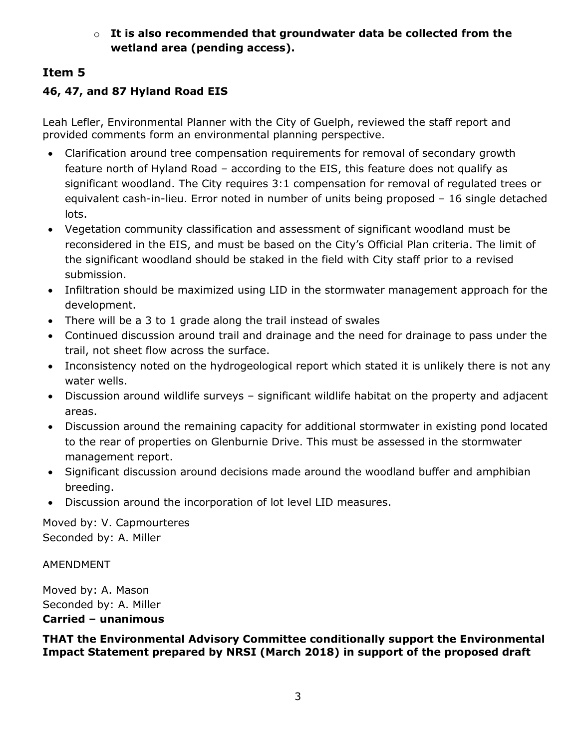#### o **It is also recommended that groundwater data be collected from the wetland area (pending access).**

## **Item 5**

## **46, 47, and 87 Hyland Road EIS**

Leah Lefler, Environmental Planner with the City of Guelph, reviewed the staff report and provided comments form an environmental planning perspective.

- Clarification around tree compensation requirements for removal of secondary growth feature north of Hyland Road – according to the EIS, this feature does not qualify as significant woodland. The City requires 3:1 compensation for removal of regulated trees or equivalent cash-in-lieu. Error noted in number of units being proposed – 16 single detached lots.
- Vegetation community classification and assessment of significant woodland must be reconsidered in the EIS, and must be based on the City's Official Plan criteria. The limit of the significant woodland should be staked in the field with City staff prior to a revised submission.
- Infiltration should be maximized using LID in the stormwater management approach for the development.
- There will be a 3 to 1 grade along the trail instead of swales
- Continued discussion around trail and drainage and the need for drainage to pass under the trail, not sheet flow across the surface.
- Inconsistency noted on the hydrogeological report which stated it is unlikely there is not any water wells.
- Discussion around wildlife surveys significant wildlife habitat on the property and adjacent areas.
- Discussion around the remaining capacity for additional stormwater in existing pond located to the rear of properties on Glenburnie Drive. This must be assessed in the stormwater management report.
- Significant discussion around decisions made around the woodland buffer and amphibian breeding.
- Discussion around the incorporation of lot level LID measures.

Moved by: V. Capmourteres Seconded by: A. Miller

AMENDMENT

Moved by: A. Mason Seconded by: A. Miller **Carried – unanimous** 

**THAT the Environmental Advisory Committee conditionally support the Environmental Impact Statement prepared by NRSI (March 2018) in support of the proposed draft**